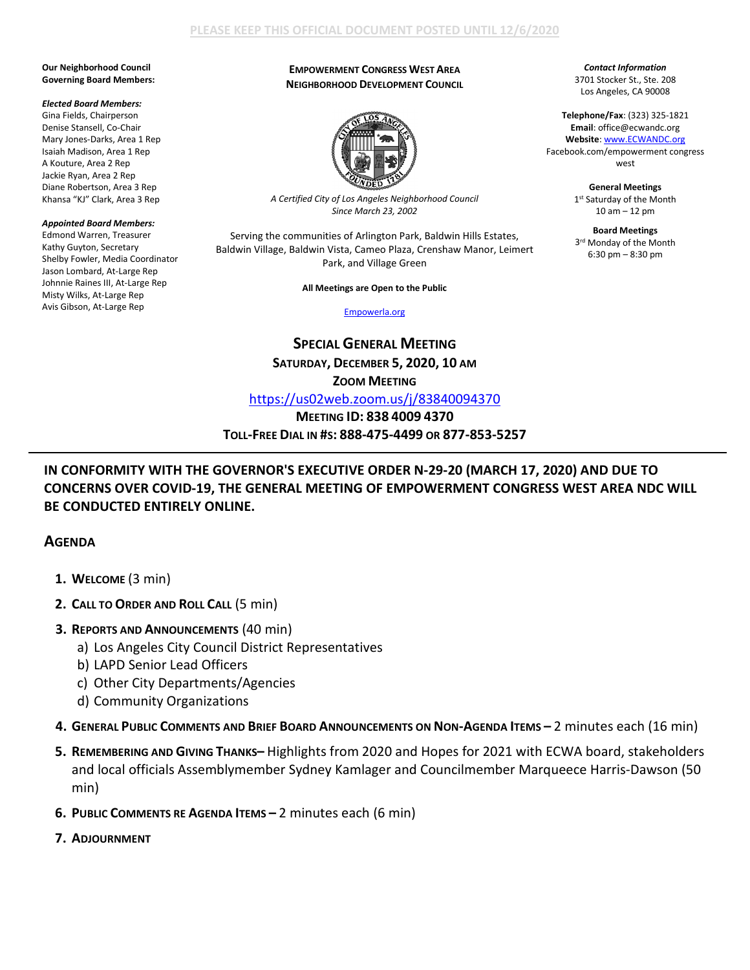# **PLEASE KEEP THIS OFFICIAL DOCUMENT POSTED UNTIL 12/6/2020**

#### **Our Neighborhood Council Governing Board Members:**

#### *Elected Board Members:*

Gina Fields, Chairperson Denise Stansell, Co-Chair Mary Jones-Darks, Area 1 Rep Isaiah Madison, Area 1 Rep A Kouture, Area 2 Rep Jackie Ryan, Area 2 Rep Diane Robertson, Area 3 Rep Khansa "KJ" Clark, Area 3 Rep

### *Appointed Board Members:*

Edmond Warren, Treasurer Kathy Guyton, Secretary Shelby Fowler, Media Coordinator Jason Lombard, At-Large Rep Johnnie Raines III, At-Large Rep Misty Wilks, At-Large Rep Avis Gibson, At-Large Rep

# **EMPOWERMENT CONGRESS WEST AREA NEIGHBORHOOD DEVELOPMENT COUNCIL**



*A Certified City of Los Angeles Neighborhood Council Since March 23, 2002*

Serving the communities of Arlington Park, Baldwin Hills Estates, Baldwin Village, Baldwin Vista, Cameo Plaza, Crenshaw Manor, Leimert Park, and Village Green

**All Meetings are Open to the Public**

[Empowerla.org](http://www.empowerla.org/)

**SPECIAL GENERAL MEETING SATURDAY, DECEMBER 5, 2020, 10 AM** 

**ZOOM MEETING**

<https://us02web.zoom.us/j/83840094370>

**MEETING ID: 838 4009 4370 TOLL-FREE DIAL IN #S: 888-475-4499 OR 877-853-5257**

*Contact Information* 3701 Stocker St., Ste. 208 Los Angeles, CA 90008

**Telephone/Fax**: (323) 325-1821 **Email**: office@ecwandc.org **Website**[: www.ECWANDC.org](http://www.ecwandc.org/) Facebook.com/empowerment congress west

> **General Meetings** 1st Saturday of the Month 10 am – 12 pm

> **Board Meetings** 3<sup>rd</sup> Monday of the Month 6:30 pm – 8:30 pm

# **IN CONFORMITY WITH THE GOVERNOR'S EXECUTIVE ORDER N-29-20 (MARCH 17, 2020) AND DUE TO CONCERNS OVER COVID-19, THE GENERAL MEETING OF EMPOWERMENT CONGRESS WEST AREA NDC WILL BE CONDUCTED ENTIRELY ONLINE.**

# **AGENDA**

- **1. WELCOME** (3 min)
- **2. CALL TO ORDER AND ROLL CALL** (5 min)
- **3. REPORTS AND ANNOUNCEMENTS** (40 min)
	- a) Los Angeles City Council District Representatives
	- b) LAPD Senior Lead Officers
	- c) Other City Departments/Agencies
	- d) Community Organizations
- **4. GENERAL PUBLIC COMMENTS AND BRIEF BOARD ANNOUNCEMENTS ON NON-AGENDA ITEMS –** 2 minutes each (16 min)
- **5. REMEMBERING AND GIVING THANKS–** Highlights from 2020 and Hopes for 2021 with ECWA board, stakeholders and local officials Assemblymember Sydney Kamlager and Councilmember Marqueece Harris-Dawson (50 min)
- **6. PUBLIC COMMENTS RE AGENDA ITEMS –** 2 minutes each (6 min)
- **7. ADJOURNMENT**